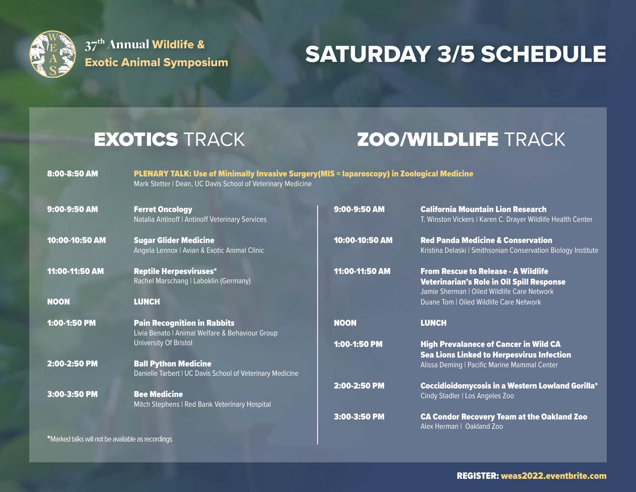

37<sup>th</sup> Annual Wildlife &

## 37" Annual Wildlife & **SATURDAY 3/5 SCHEDULE**

\*Marked talks will not be available as recordings

### EXOTICS TRACK **ZOO/WILDLIFE** TRACK

8:00-8:50 AM PLENARY TALK: Use of Minimally Invasive Surgery(MIS = laparoscopy) in Zoological Medicine Mark Stetter | Dean, UC Davis School of Veterinary Medicine

| 9:00-9:50 AM   | <b>Ferret Oncology</b><br>Natalia Antinoff   Antinoff Veterinary Services                | 9:00-9:50 AM   | <b>California Mountain Lion Research</b><br>T. Winston Vickers   Karen C. Drayer Wildlife Health Center                                |
|----------------|------------------------------------------------------------------------------------------|----------------|----------------------------------------------------------------------------------------------------------------------------------------|
| 10:00-10:50 AM | <b>Sugar Glider Medicine</b><br>Angela Lennox   Avian & Exotic Animal Clinic             | 10:00-10:50 AM | <b>Red Panda Medicine &amp; Conservation</b><br>Kristina Delaski   Smithsonian Conservation Biology Institute                          |
| 11:00-11:50 AM | <b>Reptile Herpesviruses*</b><br>Rachel Marschang   Laboklin (Germany)                   | 11:00-11:50 AM | <b>From Rescue to Release - A Wildlife</b><br>Veterinarian's Role in Oil Spill Response<br>Jamie Sherman   Oiled Wildlife Care Network |
| <b>NOON</b>    | <b>LUNCH</b>                                                                             |                | Duane Tom   Oiled Wildlife Care Network                                                                                                |
| 1:00-1:50 PM   | <b>Pain Recognition in Rabbits</b><br>Livia Benato   Animal Welfare & Behaviour Group    | <b>NOON</b>    | <b>LUNCH</b>                                                                                                                           |
|                | University Of Bristol                                                                    | $1:00-1:50$ PM | <b>High Prevalanece of Cancer in Wild CA</b><br><b>Sea Lions Linked to Herpesvirus Infection</b>                                       |
| $2:00-2:50$ PM | <b>Ball Python Medicine</b><br>Danielle Tarbert   UC Davis School of Veterinary Medicine |                | Alissa Deming   Pacific Marine Mammal Center                                                                                           |
| 3:00-3:50 PM   | <b>Bee Medicine</b><br>Mitch Stephens   Red Bank Veterinary Hospital                     | 2:00-2:50 PM   | <b>Coccidioidomycosis in a Western Lowland Gorilla*</b><br>Cindy Stadler   Los Angeles Zoo                                             |
|                |                                                                                          | $3:00-3:50$ PM | <b>CA Condor Recovery Team at the Oakland Zoo</b><br>Alex Herman   Oakland Zoo                                                         |